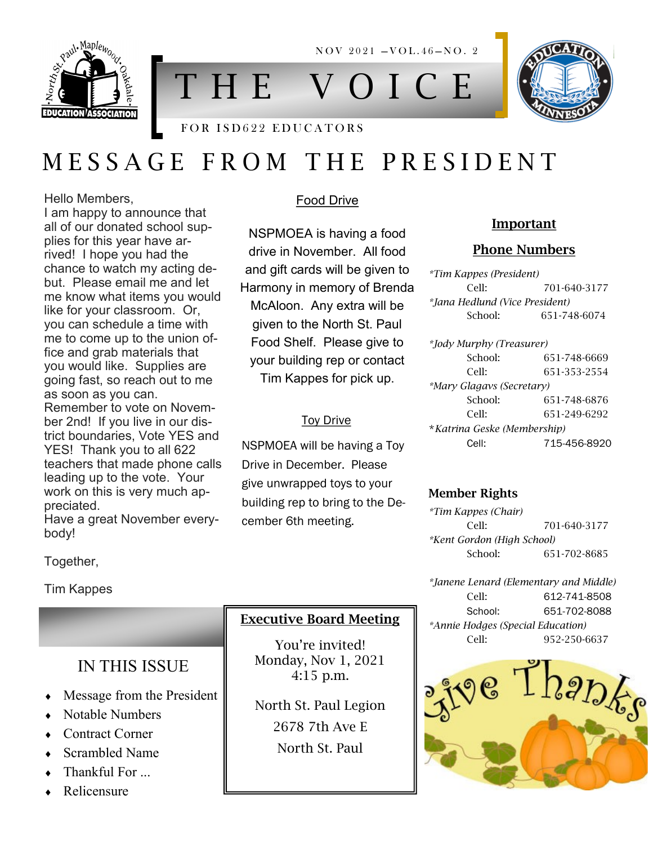

T H E V O I C E

 $NOV 2021 - VOL.46 - NO.2$ 

## FOR ISD622 EDUCATORS

# M E S S A G E F R O M T H E P R E S I D E N T

Hello Members,

I am happy to announce that all of our donated school supplies for this year have arrived! I hope you had the chance to watch my acting debut. Please email me and let me know what items you would like for your classroom. Or, you can schedule a time with me to come up to the union office and grab materials that you would like. Supplies are going fast, so reach out to me as soon as you can. Remember to vote on November 2nd! If you live in our district boundaries, Vote YES and YES! Thank you to all 622 teachers that made phone calls leading up to the vote. Your work on this is very much appreciated.

Have a great November everybody!

### Food Drive

NSPMOEA is having a food drive in November. All food and gift cards will be given to Harmony in memory of Brenda McAloon. Any extra will be given to the North St. Paul Food Shelf. Please give to your building rep or contact Tim Kappes for pick up.

#### Toy Drive

NSPMOEA will be having a Toy Drive in December. Please give unwrapped toys to your building rep to bring to the December 6th meeting.

#### Important

#### Phone Numbers

*\*Tim Kappes (President)* Cell: 701-640-3177 *\*Jana Hedlund (Vice President)* School: 651-748-6074

*\*Jody Murphy (Treasurer)* School: 651-748-6669 Cell: 651-353-2554 *\*Mary Glagavs (Secretary)* School: 651-748-6876 Cell: 651-249-6292 \**Katrina Geske (Membership)* Cell: 715-456-8920

#### Member Rights

*\*Tim Kappes (Chair)* Cell: 701-640-3177 *\*Kent Gordon (High School)* School: 651-702-8685

*\*Janene Lenard (Elementary and Middle)* Cell: 612-741-8508 School: 651-702-8088 *\*Annie Hodges (Special Education)* Cell: 952-250-6637



Together,

Tim Kappes

# IN THIS ISSUE

- Message from the President
- Notable Numbers
- Contract Corner
- Scrambled Name
- Thankful For ...
- Relicensure

# Executive Board Meeting

You're invited! Monday, Nov 1, 2021 4:15 p.m.

North St. Paul Legion 2678 7th Ave E North St. Paul